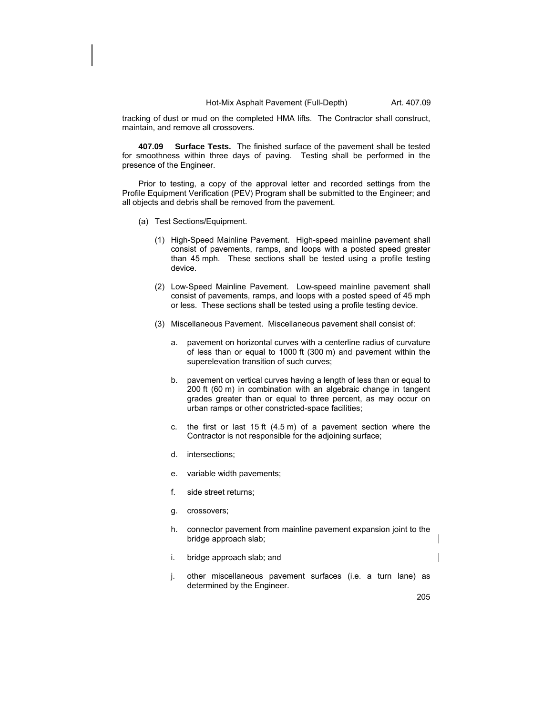tracking of dust or mud on the completed HMA lifts. The Contractor shall construct, maintain, and remove all crossovers.

**407.09 Surface Tests.** The finished surface of the pavement shall be tested for smoothness within three days of paving. Testing shall be performed in the presence of the Engineer.

Prior to testing, a copy of the approval letter and recorded settings from the Profile Equipment Verification (PEV) Program shall be submitted to the Engineer; and all objects and debris shall be removed from the pavement.

- (a) Test Sections/Equipment.
	- (1) High-Speed Mainline Pavement. High-speed mainline pavement shall consist of pavements, ramps, and loops with a posted speed greater than 45 mph. These sections shall be tested using a profile testing device.
	- (2) Low-Speed Mainline Pavement. Low-speed mainline pavement shall consist of pavements, ramps, and loops with a posted speed of 45 mph or less. These sections shall be tested using a profile testing device.
	- (3) Miscellaneous Pavement. Miscellaneous pavement shall consist of:
		- a. pavement on horizontal curves with a centerline radius of curvature of less than or equal to 1000 ft (300 m) and pavement within the superelevation transition of such curves;
		- b. pavement on vertical curves having a length of less than or equal to 200 ft (60 m) in combination with an algebraic change in tangent grades greater than or equal to three percent, as may occur on urban ramps or other constricted-space facilities;
		- c. the first or last 15 ft (4.5 m) of a pavement section where the Contractor is not responsible for the adjoining surface;
		- d. intersections;
		- e. variable width pavements;
		- f. side street returns;
		- g. crossovers;
		- h. connector pavement from mainline pavement expansion joint to the bridge approach slab;
		- i. bridge approach slab; and
		- j. other miscellaneous pavement surfaces (i.e. a turn lane) as determined by the Engineer.

 $\overline{\phantom{a}}$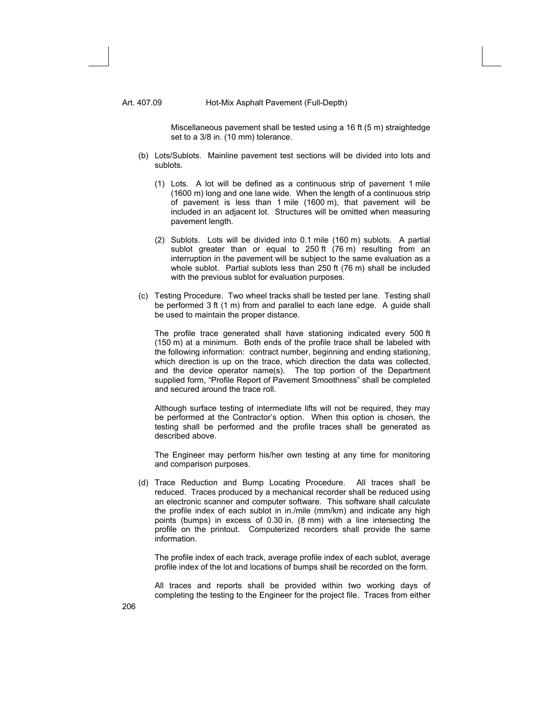Miscellaneous pavement shall be tested using a 16 ft (5 m) straightedge set to a 3/8 in. (10 mm) tolerance.

- (b) Lots/Sublots. Mainline pavement test sections will be divided into lots and sublots.
	- (1) Lots. A lot will be defined as a continuous strip of pavement 1 mile (1600 m) long and one lane wide. When the length of a continuous strip of pavement is less than 1 mile (1600 m), that pavement will be included in an adjacent lot. Structures will be omitted when measuring pavement length.
	- (2) Sublots. Lots will be divided into 0.1 mile (160 m) sublots. A partial sublot greater than or equal to 250 ft (76 m) resulting from an interruption in the pavement will be subject to the same evaluation as a whole sublot. Partial sublots less than 250 ft (76 m) shall be included with the previous sublot for evaluation purposes.
- (c) Testing Procedure. Two wheel tracks shall be tested per lane. Testing shall be performed 3 ft (1 m) from and parallel to each lane edge. A guide shall be used to maintain the proper distance.

The profile trace generated shall have stationing indicated every 500 ft (150 m) at a minimum. Both ends of the profile trace shall be labeled with the following information: contract number, beginning and ending stationing, which direction is up on the trace, which direction the data was collected, and the device operator name(s). The top portion of the Department supplied form, "Profile Report of Pavement Smoothness" shall be completed and secured around the trace roll.

Although surface testing of intermediate lifts will not be required, they may be performed at the Contractor's option. When this option is chosen, the testing shall be performed and the profile traces shall be generated as described above.

The Engineer may perform his/her own testing at any time for monitoring and comparison purposes.

(d) Trace Reduction and Bump Locating Procedure. All traces shall be reduced. Traces produced by a mechanical recorder shall be reduced using an electronic scanner and computer software. This software shall calculate the profile index of each sublot in in./mile (mm/km) and indicate any high points (bumps) in excess of 0.30 in. (8 mm) with a line intersecting the profile on the printout. Computerized recorders shall provide the same information.

The profile index of each track, average profile index of each sublot, average profile index of the lot and locations of bumps shall be recorded on the form.

All traces and reports shall be provided within two working days of completing the testing to the Engineer for the project file. Traces from either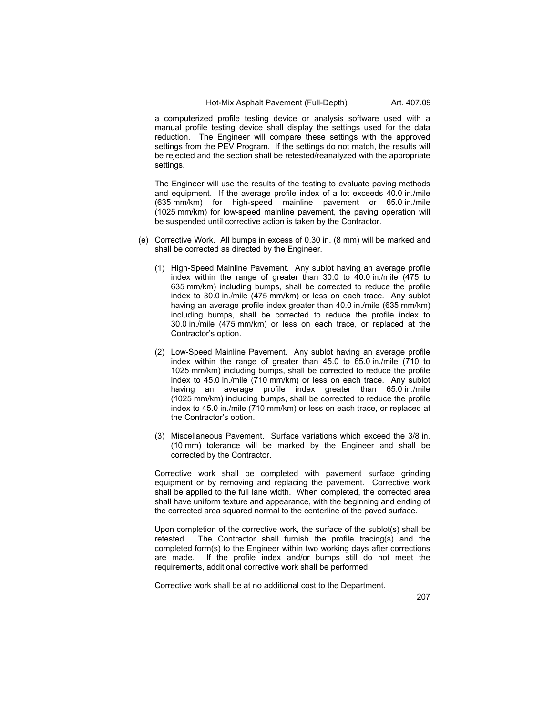a computerized profile testing device or analysis software used with a manual profile testing device shall display the settings used for the data reduction. The Engineer will compare these settings with the approved settings from the PEV Program. If the settings do not match, the results will be rejected and the section shall be retested/reanalyzed with the appropriate settings.

The Engineer will use the results of the testing to evaluate paving methods and equipment. If the average profile index of a lot exceeds 40.0 in./mile (635 mm/km) for high-speed mainline pavement or 65.0 in./mile (1025 mm/km) for low-speed mainline pavement, the paving operation will be suspended until corrective action is taken by the Contractor.

- (e) Corrective Work. All bumps in excess of 0.30 in. (8 mm) will be marked and shall be corrected as directed by the Engineer.
	- (1) High-Speed Mainline Pavement. Any sublot having an average profile index within the range of greater than 30.0 to 40.0 in./mile (475 to 635 mm/km) including bumps, shall be corrected to reduce the profile index to 30.0 in./mile (475 mm/km) or less on each trace. Any sublot having an average profile index greater than 40.0 in./mile (635 mm/km) | including bumps, shall be corrected to reduce the profile index to 30.0 in./mile (475 mm/km) or less on each trace, or replaced at the Contractor's option.
	- (2) Low-Speed Mainline Pavement. Any sublot having an average profile index within the range of greater than 45.0 to 65.0 in./mile (710 to 1025 mm/km) including bumps, shall be corrected to reduce the profile index to 45.0 in./mile (710 mm/km) or less on each trace. Any sublot having an average profile index greater than 65.0 in./mile (1025 mm/km) including bumps, shall be corrected to reduce the profile index to 45.0 in./mile (710 mm/km) or less on each trace, or replaced at the Contractor's option.
	- (3) Miscellaneous Pavement. Surface variations which exceed the 3/8 in. (10 mm) tolerance will be marked by the Engineer and shall be corrected by the Contractor.

Corrective work shall be completed with pavement surface grinding equipment or by removing and replacing the pavement. Corrective work shall be applied to the full lane width. When completed, the corrected area shall have uniform texture and appearance, with the beginning and ending of the corrected area squared normal to the centerline of the paved surface.

Upon completion of the corrective work, the surface of the sublot(s) shall be retested. The Contractor shall furnish the profile tracing(s) and the completed form(s) to the Engineer within two working days after corrections are made. If the profile index and/or bumps still do not meet the requirements, additional corrective work shall be performed.

Corrective work shall be at no additional cost to the Department.